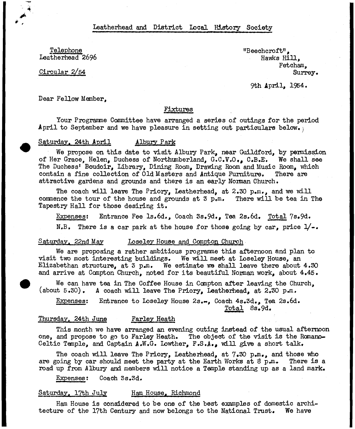leatherhead and District Local History Society

Telephone Leatherhead 2696

Circular 2/54

"Beechcroft", Hawks Hill, Fetcham, Surrey.

9th April, 1954.

Dear Fellow Member,

# Fixtures

Your Programme Committee have arranged a series of outings for the period April to September and we have pleasure in setting out particulars below.

#### Saturday. 24th April 11 Albury Park

We propose on this date to visit Albury Park, near Guildford, by permission of Her Grace, Helen, Duchess of Northumberland, G.C.V.O., C.B.E. We shall see The Duchess' Boudoir, Library, Dining Room, Drawing Room and Music Room, which contain a fine collection of Old Masters and Antique Furniture, There are attractive gardens and grounds and there is an early Norman Church.

The coach will leave The Priory, Leatherhead, at  $2.30$  p.m., and we will commence the tour of the house and grounds at 3 p.m. There will be tea in The Tapestry Hall for those desiring it.

Expenses: Entrance Fee ls,6d., Coach 3s.9d., Tea 2s,6d, Total 7s.9d. N.B. There is a car park at the house for those going by car, price  $1/-.$ 

#### Saturday. 22nd May Loseley House and Compton Church.

We are proposing a rather ambitious programme this afternoon and plan to visit two most interesting buildings, We will meet at Loseley House, an Elizabethan structure, at 3 p.m. We estimate we shall leave there about  $4.30$ and arrive at Compton Church, noted for its beautiful Norman work, about  $4.45$ .

We can have tea in The Coffee House in Compton after leaving the Church, (about  $5.30$ ). A coach will leave The Priory, Leatherhead, at  $2.30$  p.m.

Expenses: Entrance to Loseley House 2s.m, Coach 4s.3d., Tea 2s.6d. Total 8s.9d,

### Thursday. 24th June Farley Heath

This month we have arranged an evening outing instead of the usual afternoon one, and propose to go to Farley Heath. The object of the visit is the Romano-Celtic Temple, and Captain A.W.G. Lowther, F.S.A., will give a short talk.

The coach will leave The Priory, Leatherhead, at  $7.30$  p.m., and those who are going by car should meet the party at the Earth Works at 8 p.m. There is a road up from Albury and members will notice a Temple standing up as a land mark.

Expenses: Coach 3s.3d.

### Saturday. 17th July Ham House. Richmond

Ham House is considered to be one of the best examples of domestic architecture of the 17th Century and now belongs to the National Trust. We have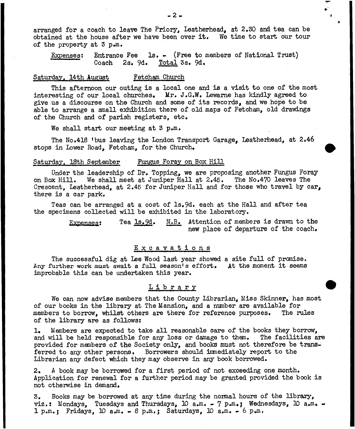arranged for a coach to leave The Priory, Leatherhead, at 2,30 and tea can be obtained at the house after we have been over it. We time to start our tour of the property at 3 p,m.

Expenses: Entrance Fee la. - (Free to members of National Trust) Coach 2s, 9d. Total 3s, 9d»

### Saturday. 14th August Fetcham Church

This afternoon our outing is a local one and is a visit to one of the most interesting of our local churches. Mr. J.G.W. Lewarne has kindly agreed to give us a discourse on the Church and some of its records, and we hope to be able to arrange a small exhibition there of old maps of Fetcham, old drawings of the Church and of parish registers, etc.

We shall start our meeting at 3 p.m.

The No.418 'bus leaving the London Transport Garage, Leatherhead, at 2,46 stops in Lower Road, Fetcham, for the Church,

#### Saturday. 18th September Fungus Foray on Box Hill

Under the leadership of Dr. Topping, we are proposing another Fungus Foray on Box Hill. We shall meet at Juniper Hall at 2,45. The No.470 leaves The Crescent, Leatherhead, at 2,45 for Juniper Hall and for those who travel by car, there is a car park.

Teas can be arranged at a cost of ls,9d. each at the Hall and after tea the specimens collected will be exhibited in the laboratory.

> Expenses: Tea 1s.9d. N.B. Attention of members is drawn to the new place of departure of the coach.

### Excavations

The successful dig at Lee Wood last year showed a site full of premise. Any further work must await a full season's effort. At the moment it seems improbable this can be undertaken this year.

#### Library

We can now advise members that the County Librarian, Miss Skinner, has most of our books in the library at The Mansion, and a number are available for members to borrow, whilst others are there for reference purposes. The rules of the library are as follows:

1, Members are expected to take all reasonable care of the books they borrow, and will be held responsible for any loss or damage to them. The facilities are provided for members of the Society only, and books must not therefore be transferred to any other persons. Borrowers should immediately report to the Librarian any defect which they may observe in any book borrowed.

2, A book may be borrowed for a first period of not exceeding one month. Application for renewal for a further period may be granted provided the book is not otherwise in demand,

3. Books may be borrowed at any time during the normal hours of the library, viz.: Mondays, Tuesdays and Thursdays,  $10$  a.m. - 7 p.m.; Wednesdays,  $10$  a.m. - $1 p_{\rm s}$  fridays,  $10 a_{\rm s}$   $\ldots$  8  $p_{\rm s}$   $\ldots$  Saturdays,  $10 a_{\rm s}$   $\ldots$  6  $p_{\rm s}$ .